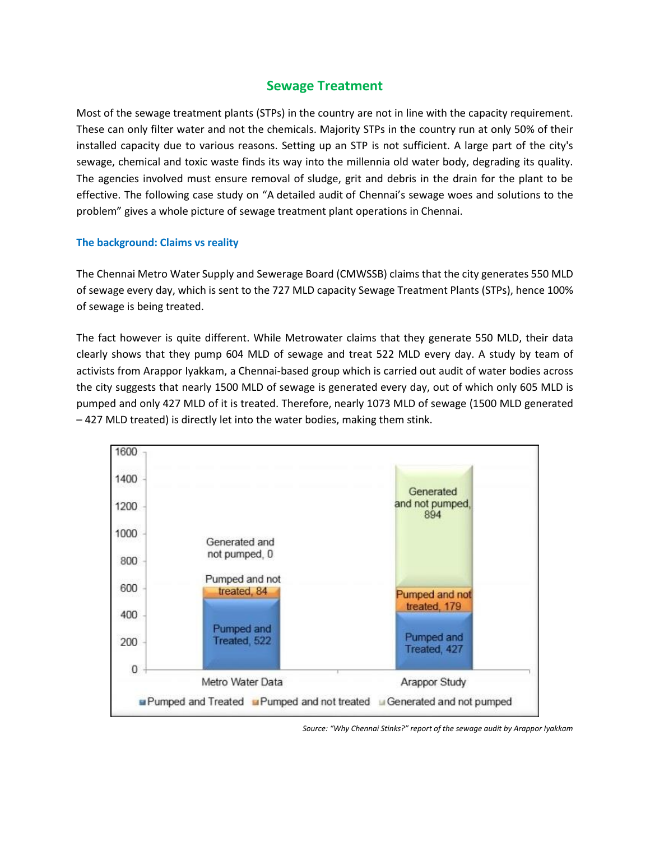## **Sewage Treatment**

Most of the sewage treatment plants (STPs) in the country are not in line with the capacity requirement. These can only filter water and not the chemicals. Majority STPs in the country run at only 50% of their installed capacity due to various reasons. Setting up an STP is not sufficient. A large part of the city's sewage, chemical and toxic waste finds its way into the millennia old water body, degrading its quality. The agencies involved must ensure removal of sludge, grit and debris in the drain for the plant to be effective. The following case study on "A detailed audit of Chennai's sewage woes and solutions to the problem" gives a whole picture of sewage treatment plant operations in Chennai.

## **The background: Claims vs reality**

The Chennai Metro Water Supply and Sewerage Board (CMWSSB) claims that the city generates 550 MLD of sewage every day, which is sent to the 727 MLD capacity Sewage Treatment Plants (STPs), hence 100% of sewage is being treated.

The fact however is quite different. While Metrowater claims that they generate 550 MLD, their data clearly shows that they pump 604 MLD of sewage and treat 522 MLD every day. A study by team of activists from Arappor Iyakkam, a Chennai-based group which is carried out audit of water bodies across the city suggests that nearly 1500 MLD of sewage is generated every day, out of which only 605 MLD is pumped and only 427 MLD of it is treated. Therefore, nearly 1073 MLD of sewage (1500 MLD generated – 427 MLD treated) is directly let into the water bodies, making them stink.



*Source: "Why Chennai Stinks?" report of the sewage audit by Arappor Iyakkam*